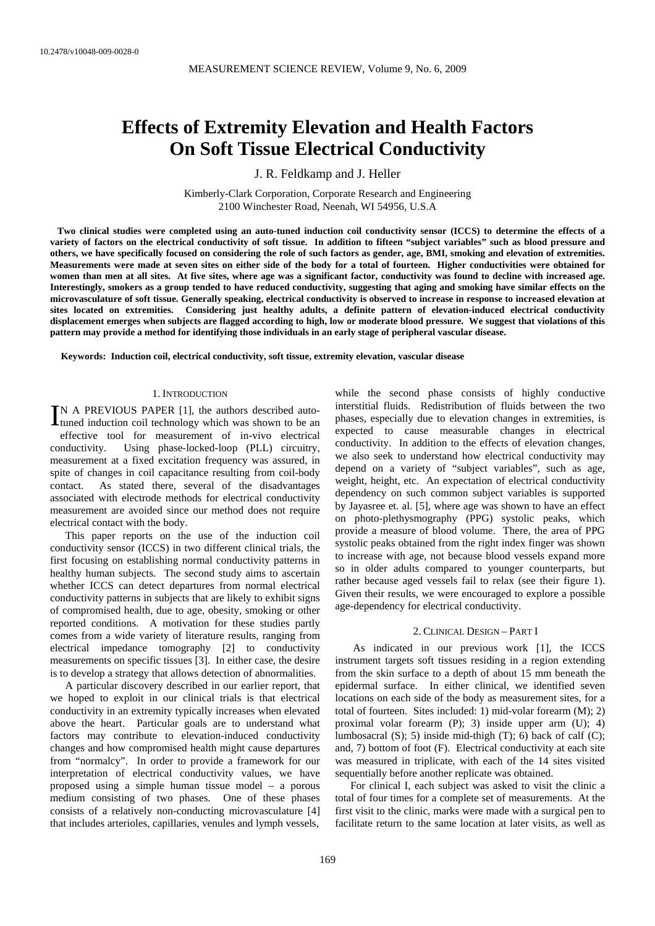# **Effects of Extremity Elevation and Health Factors On Soft Tissue Electrical Conductivity**

J. R. Feldkamp and J. Heller

Kimberly-Clark Corporation, Corporate Research and Engineering 2100 Winchester Road, Neenah, WI 54956, U.S.A

 **Two clinical studies were completed using an auto-tuned induction coil conductivity sensor (ICCS) to determine the effects of a variety of factors on the electrical conductivity of soft tissue. In addition to fifteen "subject variables" such as blood pressure and others, we have specifically focused on considering the role of such factors as gender, age, BMI, smoking and elevation of extremities. Measurements were made at seven sites on either side of the body for a total of fourteen. Higher conductivities were obtained for women than men at all sites. At five sites, where age was a significant factor, conductivity was found to decline with increased age. Interestingly, smokers as a group tended to have reduced conductivity, suggesting that aging and smoking have similar effects on the microvasculature of soft tissue. Generally speaking, electrical conductivity is observed to increase in response to increased elevation at sites located on extremities. Considering just healthy adults, a definite pattern of elevation-induced electrical conductivity displacement emerges when subjects are flagged according to high, low or moderate blood pressure. We suggest that violations of this pattern may provide a method for identifying those individuals in an early stage of peripheral vascular disease.** 

**Keywords: Induction coil, electrical conductivity, soft tissue, extremity elevation, vascular disease** 

### 1. INTRODUCTION

IN A PREVIOUS PAPER [1], the authors described auto-IN A PREVIOUS PAPER [1], the authors described auto-<br>tuned induction coil technology which was shown to be an

effective tool for measurement of in-vivo electrical conductivity. Using phase-locked-loop (PLL) circuitry, measurement at a fixed excitation frequency was assured, in spite of changes in coil capacitance resulting from coil-body contact. As stated there, several of the disadvantages associated with electrode methods for electrical conductivity measurement are avoided since our method does not require electrical contact with the body.

This paper reports on the use of the induction coil conductivity sensor (ICCS) in two different clinical trials, the first focusing on establishing normal conductivity patterns in healthy human subjects. The second study aims to ascertain whether ICCS can detect departures from normal electrical conductivity patterns in subjects that are likely to exhibit signs of compromised health, due to age, obesity, smoking or other reported conditions. A motivation for these studies partly comes from a wide variety of literature results, ranging from electrical impedance tomography [2] to conductivity measurements on specific tissues [3]. In either case, the desire is to develop a strategy that allows detection of abnormalities.

A particular discovery described in our earlier report, that we hoped to exploit in our clinical trials is that electrical conductivity in an extremity typically increases when elevated above the heart. Particular goals are to understand what factors may contribute to elevation-induced conductivity changes and how compromised health might cause departures from "normalcy". In order to provide a framework for our interpretation of electrical conductivity values, we have proposed using a simple human tissue model – a porous medium consisting of two phases. One of these phases consists of a relatively non-conducting microvasculature [4] that includes arterioles, capillaries, venules and lymph vessels,

while the second phase consists of highly conductive interstitial fluids. Redistribution of fluids between the two phases, especially due to elevation changes in extremities, is expected to cause measurable changes in electrical conductivity. In addition to the effects of elevation changes, we also seek to understand how electrical conductivity may depend on a variety of "subject variables", such as age, weight, height, etc. An expectation of electrical conductivity dependency on such common subject variables is supported by Jayasree et. al. [5], where age was shown to have an effect on photo-plethysmography (PPG) systolic peaks, which provide a measure of blood volume. There, the area of PPG systolic peaks obtained from the right index finger was shown to increase with age, not because blood vessels expand more so in older adults compared to younger counterparts, but rather because aged vessels fail to relax (see their figure 1). Given their results, we were encouraged to explore a possible age-dependency for electrical conductivity.

## 2. CLINICAL DESIGN – PART I

 As indicated in our previous work [1], the ICCS instrument targets soft tissues residing in a region extending from the skin surface to a depth of about 15 mm beneath the epidermal surface. In either clinical, we identified seven locations on each side of the body as measurement sites, for a total of fourteen. Sites included: 1) mid-volar forearm (M); 2) proximal volar forearm (P); 3) inside upper arm (U); 4) lumbosacral (S); 5) inside mid-thigh (T); 6) back of calf (C); and, 7) bottom of foot (F). Electrical conductivity at each site was measured in triplicate, with each of the 14 sites visited sequentially before another replicate was obtained.

For clinical I, each subject was asked to visit the clinic a total of four times for a complete set of measurements. At the first visit to the clinic, marks were made with a surgical pen to facilitate return to the same location at later visits, as well as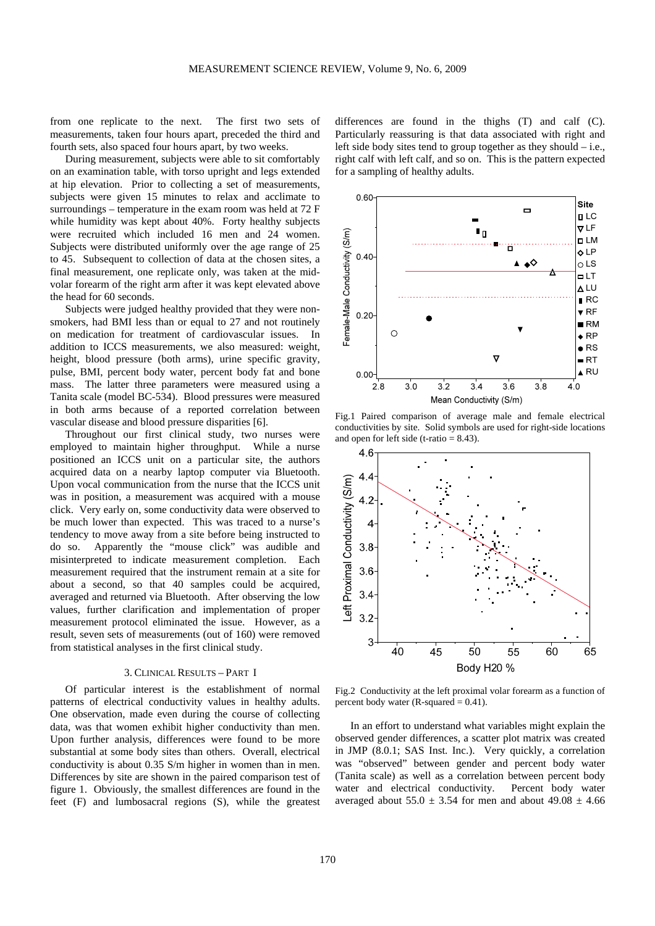from one replicate to the next. The first two sets of measurements, taken four hours apart, preceded the third and fourth sets, also spaced four hours apart, by two weeks.

During measurement, subjects were able to sit comfortably on an examination table, with torso upright and legs extended at hip elevation. Prior to collecting a set of measurements, subjects were given 15 minutes to relax and acclimate to surroundings – temperature in the exam room was held at 72 F while humidity was kept about 40%. Forty healthy subjects were recruited which included 16 men and 24 women. Subjects were distributed uniformly over the age range of 25 to 45. Subsequent to collection of data at the chosen sites, a final measurement, one replicate only, was taken at the midvolar forearm of the right arm after it was kept elevated above the head for 60 seconds.

Subjects were judged healthy provided that they were nonsmokers, had BMI less than or equal to 27 and not routinely on medication for treatment of cardiovascular issues. In addition to ICCS measurements, we also measured: weight, height, blood pressure (both arms), urine specific gravity, pulse, BMI, percent body water, percent body fat and bone mass. The latter three parameters were measured using a Tanita scale (model BC-534). Blood pressures were measured in both arms because of a reported correlation between vascular disease and blood pressure disparities [6].

Throughout our first clinical study, two nurses were employed to maintain higher throughput. While a nurse positioned an ICCS unit on a particular site, the authors acquired data on a nearby laptop computer via Bluetooth. Upon vocal communication from the nurse that the ICCS unit was in position, a measurement was acquired with a mouse click. Very early on, some conductivity data were observed to be much lower than expected. This was traced to a nurse's tendency to move away from a site before being instructed to do so. Apparently the "mouse click" was audible and misinterpreted to indicate measurement completion. Each measurement required that the instrument remain at a site for about a second, so that 40 samples could be acquired, averaged and returned via Bluetooth. After observing the low values, further clarification and implementation of proper measurement protocol eliminated the issue. However, as a result, seven sets of measurements (out of 160) were removed from statistical analyses in the first clinical study.

## 3. CLINICAL RESULTS – PART I

Of particular interest is the establishment of normal patterns of electrical conductivity values in healthy adults. One observation, made even during the course of collecting data, was that women exhibit higher conductivity than men. Upon further analysis, differences were found to be more substantial at some body sites than others. Overall, electrical conductivity is about 0.35 S/m higher in women than in men. Differences by site are shown in the paired comparison test of figure 1. Obviously, the smallest differences are found in the feet (F) and lumbosacral regions (S), while the greatest

differences are found in the thighs (T) and calf (C). Particularly reassuring is that data associated with right and left side body sites tend to group together as they should – i.e., right calf with left calf, and so on. This is the pattern expected for a sampling of healthy adults.



Fig.1 Paired comparison of average male and female electrical conductivities by site. Solid symbols are used for right-side locations and open for left side (t-ratio  $= 8.43$ ).



Fig.2 Conductivity at the left proximal volar forearm as a function of percent body water ( $R$ -squared = 0.41).

In an effort to understand what variables might explain the observed gender differences, a scatter plot matrix was created in JMP (8.0.1; SAS Inst. Inc.). Very quickly, a correlation was "observed" between gender and percent body water (Tanita scale) as well as a correlation between percent body water and electrical conductivity. Percent body water averaged about  $55.0 \pm 3.54$  for men and about  $49.08 \pm 4.66$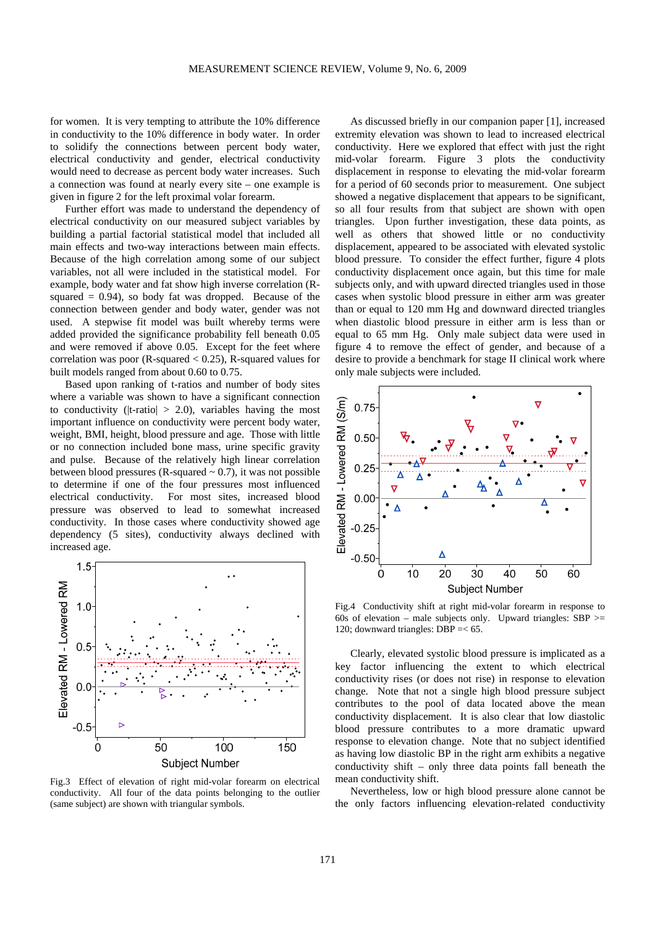for women. It is very tempting to attribute the 10% difference in conductivity to the 10% difference in body water. In order to solidify the connections between percent body water, electrical conductivity and gender, electrical conductivity would need to decrease as percent body water increases. Such a connection was found at nearly every site – one example is given in figure 2 for the left proximal volar forearm.

Further effort was made to understand the dependency of electrical conductivity on our measured subject variables by building a partial factorial statistical model that included all main effects and two-way interactions between main effects. Because of the high correlation among some of our subject variables, not all were included in the statistical model. For example, body water and fat show high inverse correlation (Rsquared  $= 0.94$ ), so body fat was dropped. Because of the connection between gender and body water, gender was not used. A stepwise fit model was built whereby terms were added provided the significance probability fell beneath 0.05 and were removed if above 0.05. Except for the feet where correlation was poor (R-squared < 0.25), R-squared values for built models ranged from about 0.60 to 0.75.

Based upon ranking of t-ratios and number of body sites where a variable was shown to have a significant connection to conductivity (|t-ratio|  $> 2.0$ ), variables having the most important influence on conductivity were percent body water, weight, BMI, height, blood pressure and age. Those with little or no connection included bone mass, urine specific gravity and pulse. Because of the relatively high linear correlation between blood pressures (R-squared  $\sim$  0.7), it was not possible to determine if one of the four pressures most influenced electrical conductivity. For most sites, increased blood pressure was observed to lead to somewhat increased conductivity. In those cases where conductivity showed age dependency (5 sites), conductivity always declined with increased age.



Fig.3 Effect of elevation of right mid-volar forearm on electrical conductivity. All four of the data points belonging to the outlier (same subject) are shown with triangular symbols.

As discussed briefly in our companion paper [1], increased extremity elevation was shown to lead to increased electrical conductivity. Here we explored that effect with just the right mid-volar forearm. Figure 3 plots the conductivity displacement in response to elevating the mid-volar forearm for a period of 60 seconds prior to measurement. One subject showed a negative displacement that appears to be significant, so all four results from that subject are shown with open triangles. Upon further investigation, these data points, as well as others that showed little or no conductivity displacement, appeared to be associated with elevated systolic blood pressure. To consider the effect further, figure 4 plots conductivity displacement once again, but this time for male subjects only, and with upward directed triangles used in those cases when systolic blood pressure in either arm was greater than or equal to 120 mm Hg and downward directed triangles when diastolic blood pressure in either arm is less than or equal to 65 mm Hg. Only male subject data were used in figure 4 to remove the effect of gender, and because of a desire to provide a benchmark for stage II clinical work where only male subjects were included.



Fig.4 Conductivity shift at right mid-volar forearm in response to 60s of elevation – male subjects only. Upward triangles: SBP  $>$ 120; downward triangles: DBP =< 65.

Clearly, elevated systolic blood pressure is implicated as a key factor influencing the extent to which electrical conductivity rises (or does not rise) in response to elevation change. Note that not a single high blood pressure subject contributes to the pool of data located above the mean conductivity displacement. It is also clear that low diastolic blood pressure contributes to a more dramatic upward response to elevation change. Note that no subject identified as having low diastolic BP in the right arm exhibits a negative conductivity shift – only three data points fall beneath the mean conductivity shift.

Nevertheless, low or high blood pressure alone cannot be the only factors influencing elevation-related conductivity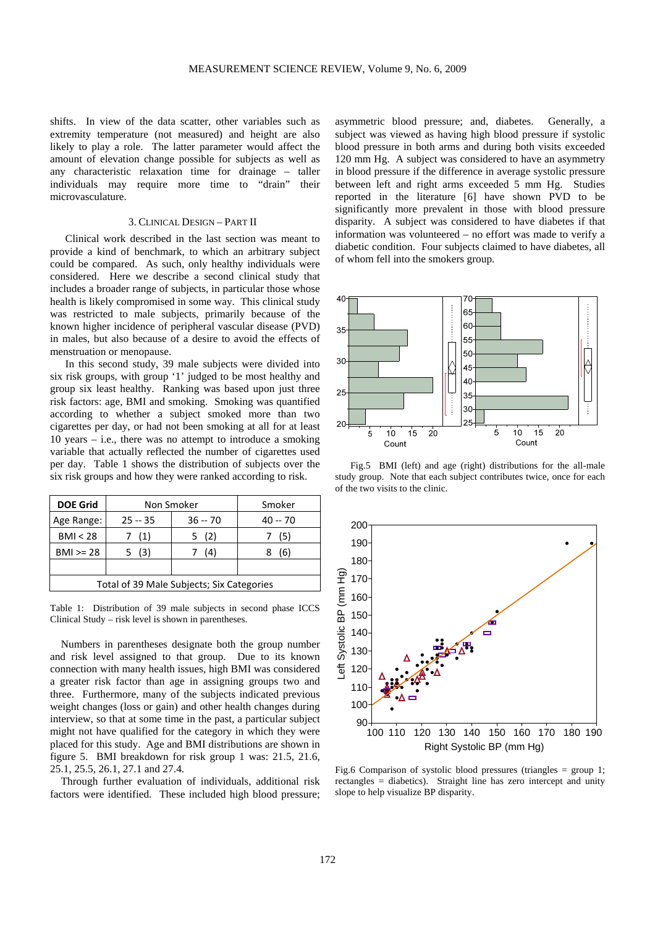shifts. In view of the data scatter, other variables such as extremity temperature (not measured) and height are also likely to play a role. The latter parameter would affect the amount of elevation change possible for subjects as well as any characteristic relaxation time for drainage – taller individuals may require more time to "drain" their microvasculature.

# 3. CLINICAL DESIGN – PART II

Clinical work described in the last section was meant to provide a kind of benchmark, to which an arbitrary subject could be compared. As such, only healthy individuals were considered. Here we describe a second clinical study that includes a broader range of subjects, in particular those whose health is likely compromised in some way. This clinical study was restricted to male subjects, primarily because of the known higher incidence of peripheral vascular disease (PVD) in males, but also because of a desire to avoid the effects of menstruation or menopause.

In this second study, 39 male subjects were divided into six risk groups, with group '1' judged to be most healthy and group six least healthy. Ranking was based upon just three risk factors: age, BMI and smoking. Smoking was quantified according to whether a subject smoked more than two cigarettes per day, or had not been smoking at all for at least 10 years – i.e., there was no attempt to introduce a smoking variable that actually reflected the number of cigarettes used per day. Table 1 shows the distribution of subjects over the six risk groups and how they were ranked according to risk.

| <b>DOE Grid</b>                           | Non Smoker |           | Smoker    |  |  |  |
|-------------------------------------------|------------|-----------|-----------|--|--|--|
| Age Range:                                | $25 - 35$  | $36 - 70$ | $40 - 70$ |  |  |  |
| BMI < 28                                  | (1)        | 5 (2)     | (5)       |  |  |  |
| $BMI > = 28$                              | 5 (3)      | (4)       | (6)       |  |  |  |
|                                           |            |           |           |  |  |  |
| Total of 39 Male Subjects; Six Categories |            |           |           |  |  |  |

Table 1: Distribution of 39 male subjects in second phase ICCS Clinical Study – risk level is shown in parentheses.

Numbers in parentheses designate both the group number and risk level assigned to that group. Due to its known connection with many health issues, high BMI was considered a greater risk factor than age in assigning groups two and three. Furthermore, many of the subjects indicated previous weight changes (loss or gain) and other health changes during interview, so that at some time in the past, a particular subject might not have qualified for the category in which they were placed for this study. Age and BMI distributions are shown in figure 5. BMI breakdown for risk group 1 was: 21.5, 21.6, 25.1, 25.5, 26.1, 27.1 and 27.4.

 Through further evaluation of individuals, additional risk factors were identified. These included high blood pressure;

asymmetric blood pressure; and, diabetes. Generally, a subject was viewed as having high blood pressure if systolic blood pressure in both arms and during both visits exceeded 120 mm Hg. A subject was considered to have an asymmetry in blood pressure if the difference in average systolic pressure between left and right arms exceeded 5 mm Hg. Studies reported in the literature [6] have shown PVD to be significantly more prevalent in those with blood pressure disparity. A subject was considered to have diabetes if that information was volunteered – no effort was made to verify a diabetic condition. Four subjects claimed to have diabetes, all of whom fell into the smokers group.



Fig.5 BMI (left) and age (right) distributions for the all-male study group. Note that each subject contributes twice, once for each of the two visits to the clinic.



Fig.6 Comparison of systolic blood pressures (triangles = group 1; rectangles = diabetics). Straight line has zero intercept and unity slope to help visualize BP disparity.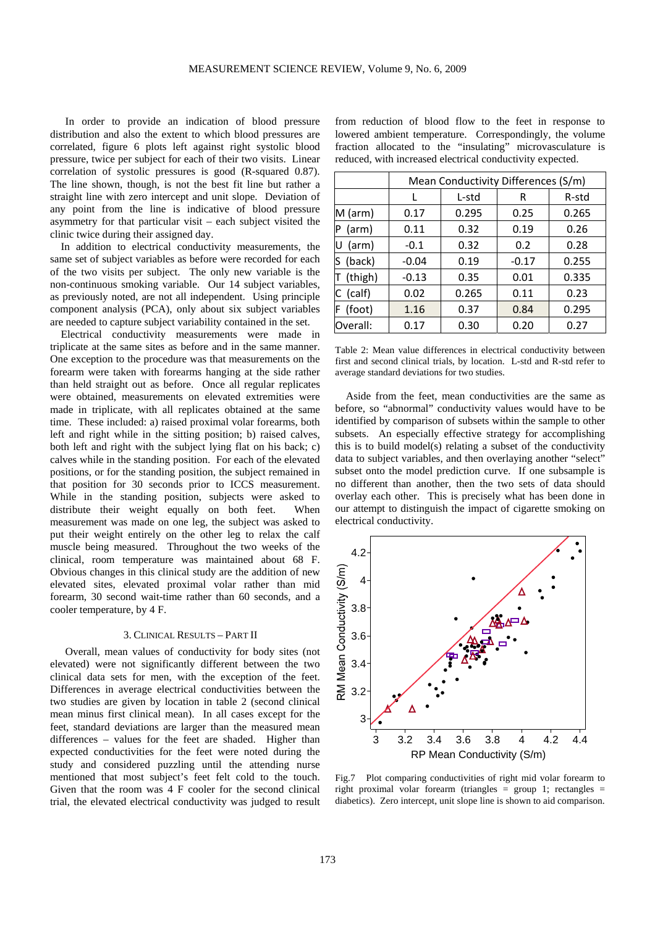In order to provide an indication of blood pressure distribution and also the extent to which blood pressures are correlated, figure 6 plots left against right systolic blood pressure, twice per subject for each of their two visits. Linear correlation of systolic pressures is good (R-squared 0.87). The line shown, though, is not the best fit line but rather a straight line with zero intercept and unit slope. Deviation of any point from the line is indicative of blood pressure asymmetry for that particular visit – each subject visited the clinic twice during their assigned day.

In addition to electrical conductivity measurements, the same set of subject variables as before were recorded for each of the two visits per subject. The only new variable is the non-continuous smoking variable. Our 14 subject variables, as previously noted, are not all independent. Using principle component analysis (PCA), only about six subject variables are needed to capture subject variability contained in the set.

Electrical conductivity measurements were made in triplicate at the same sites as before and in the same manner. One exception to the procedure was that measurements on the forearm were taken with forearms hanging at the side rather than held straight out as before. Once all regular replicates were obtained, measurements on elevated extremities were made in triplicate, with all replicates obtained at the same time. These included: a) raised proximal volar forearms, both left and right while in the sitting position; b) raised calves, both left and right with the subject lying flat on his back; c) calves while in the standing position. For each of the elevated positions, or for the standing position, the subject remained in that position for 30 seconds prior to ICCS measurement. While in the standing position, subjects were asked to distribute their weight equally on both feet. When measurement was made on one leg, the subject was asked to put their weight entirely on the other leg to relax the calf muscle being measured. Throughout the two weeks of the clinical, room temperature was maintained about 68 F. Obvious changes in this clinical study are the addition of new elevated sites, elevated proximal volar rather than mid forearm, 30 second wait-time rather than 60 seconds, and a cooler temperature, by 4 F.

## 3. CLINICAL RESULTS – PART II

Overall, mean values of conductivity for body sites (not elevated) were not significantly different between the two clinical data sets for men, with the exception of the feet. Differences in average electrical conductivities between the two studies are given by location in table 2 (second clinical mean minus first clinical mean). In all cases except for the feet, standard deviations are larger than the measured mean differences – values for the feet are shaded. Higher than expected conductivities for the feet were noted during the study and considered puzzling until the attending nurse mentioned that most subject's feet felt cold to the touch. Given that the room was 4 F cooler for the second clinical trial, the elevated electrical conductivity was judged to result from reduction of blood flow to the feet in response to lowered ambient temperature. Correspondingly, the volume fraction allocated to the "insulating" microvasculature is reduced, with increased electrical conductivity expected.

|             | Mean Conductivity Differences (S/m) |       |         |       |  |
|-------------|-------------------------------------|-------|---------|-------|--|
|             |                                     | L-std | R       | R-std |  |
| $M$ (arm)   | 0.17                                | 0.295 | 0.25    | 0.265 |  |
| (arm)<br>ΙP | 0.11                                | 0.32  | 0.19    | 0.26  |  |
| (arm)<br>IU | $-0.1$                              | 0.32  | 0.2     | 0.28  |  |
| (back)      | $-0.04$                             | 0.19  | $-0.17$ | 0.255 |  |
| (thigh)     | $-0.13$                             | 0.35  | 0.01    | 0.335 |  |
| $C$ (calf)  | 0.02                                | 0.265 | 0.11    | 0.23  |  |
| F (foot)    | 1.16                                | 0.37  | 0.84    | 0.295 |  |
| Overall:    | 0.17                                | 0.30  | 0.20    | 0.27  |  |

Table 2: Mean value differences in electrical conductivity between first and second clinical trials, by location. L-std and R-std refer to average standard deviations for two studies.

 Aside from the feet, mean conductivities are the same as before, so "abnormal" conductivity values would have to be identified by comparison of subsets within the sample to other subsets. An especially effective strategy for accomplishing this is to build model(s) relating a subset of the conductivity data to subject variables, and then overlaying another "select" subset onto the model prediction curve. If one subsample is no different than another, then the two sets of data should overlay each other. This is precisely what has been done in our attempt to distinguish the impact of cigarette smoking on electrical conductivity.



Fig.7 Plot comparing conductivities of right mid volar forearm to right proximal volar forearm (triangles = group 1; rectangles = diabetics). Zero intercept, unit slope line is shown to aid comparison.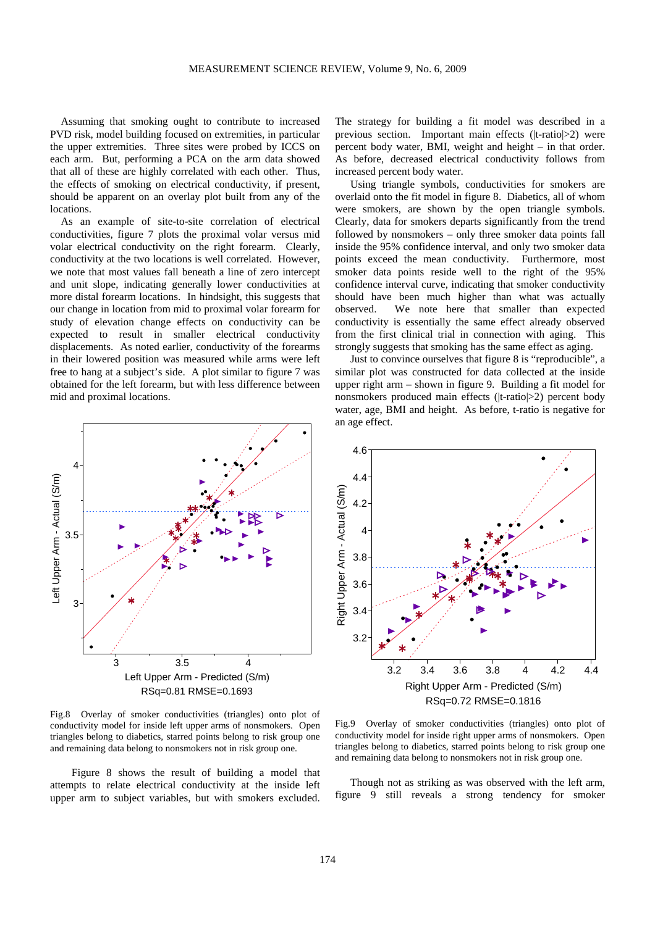Assuming that smoking ought to contribute to increased PVD risk, model building focused on extremities, in particular the upper extremities. Three sites were probed by ICCS on each arm. But, performing a PCA on the arm data showed that all of these are highly correlated with each other. Thus, the effects of smoking on electrical conductivity, if present, should be apparent on an overlay plot built from any of the locations.

As an example of site-to-site correlation of electrical conductivities, figure 7 plots the proximal volar versus mid volar electrical conductivity on the right forearm. Clearly, conductivity at the two locations is well correlated. However, we note that most values fall beneath a line of zero intercept and unit slope, indicating generally lower conductivities at more distal forearm locations. In hindsight, this suggests that our change in location from mid to proximal volar forearm for study of elevation change effects on conductivity can be expected to result in smaller electrical conductivity displacements. As noted earlier, conductivity of the forearms in their lowered position was measured while arms were left free to hang at a subject's side. A plot similar to figure 7 was obtained for the left forearm, but with less difference between mid and proximal locations.



Fig.8 Overlay of smoker conductivities (triangles) onto plot of conductivity model for inside left upper arms of nonsmokers. Open triangles belong to diabetics, starred points belong to risk group one and remaining data belong to nonsmokers not in risk group one.

 Figure 8 shows the result of building a model that attempts to relate electrical conductivity at the inside left upper arm to subject variables, but with smokers excluded.

The strategy for building a fit model was described in a previous section. Important main effects (|t-ratio|>2) were percent body water, BMI, weight and height – in that order. As before, decreased electrical conductivity follows from increased percent body water.

Using triangle symbols, conductivities for smokers are overlaid onto the fit model in figure 8. Diabetics, all of whom were smokers, are shown by the open triangle symbols. Clearly, data for smokers departs significantly from the trend followed by nonsmokers – only three smoker data points fall inside the 95% confidence interval, and only two smoker data points exceed the mean conductivity. Furthermore, most smoker data points reside well to the right of the 95% confidence interval curve, indicating that smoker conductivity should have been much higher than what was actually observed. We note here that smaller than expected conductivity is essentially the same effect already observed from the first clinical trial in connection with aging. This strongly suggests that smoking has the same effect as aging.

Just to convince ourselves that figure 8 is "reproducible", a similar plot was constructed for data collected at the inside upper right arm – shown in figure 9. Building a fit model for nonsmokers produced main effects (|t-ratio|>2) percent body water, age, BMI and height. As before, t-ratio is negative for an age effect.



Fig.9 Overlay of smoker conductivities (triangles) onto plot of conductivity model for inside right upper arms of nonsmokers. Open triangles belong to diabetics, starred points belong to risk group one and remaining data belong to nonsmokers not in risk group one.

Though not as striking as was observed with the left arm, figure 9 still reveals a strong tendency for smoker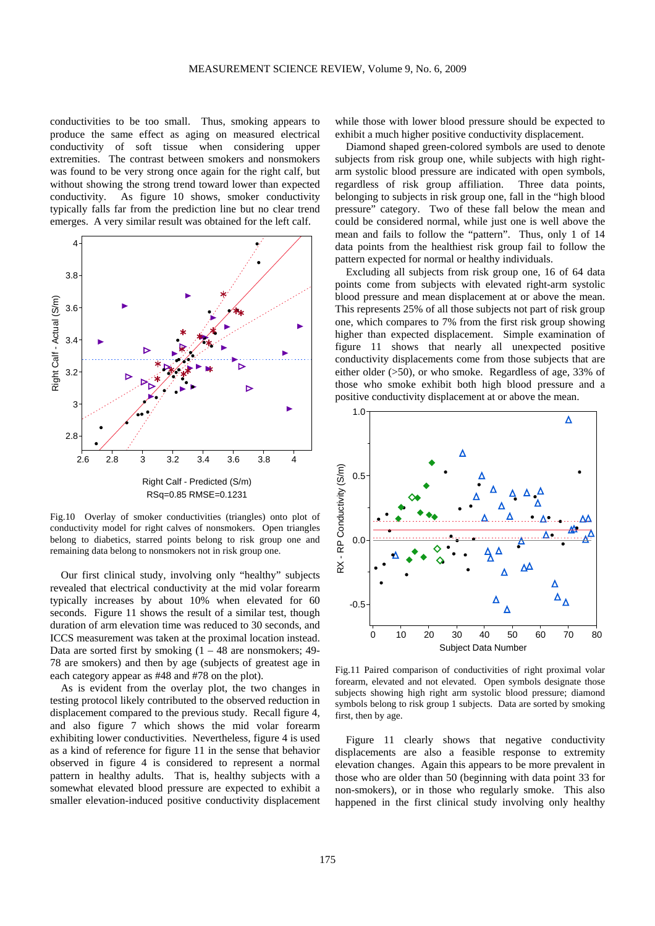conductivities to be too small. Thus, smoking appears to produce the same effect as aging on measured electrical conductivity of soft tissue when considering upper extremities. The contrast between smokers and nonsmokers was found to be very strong once again for the right calf, but without showing the strong trend toward lower than expected conductivity. As figure 10 shows, smoker conductivity typically falls far from the prediction line but no clear trend emerges. A very similar result was obtained for the left calf.



Fig.10 Overlay of smoker conductivities (triangles) onto plot of conductivity model for right calves of nonsmokers. Open triangles belong to diabetics, starred points belong to risk group one and remaining data belong to nonsmokers not in risk group one.

 Our first clinical study, involving only "healthy" subjects revealed that electrical conductivity at the mid volar forearm typically increases by about 10% when elevated for 60 seconds. Figure 11 shows the result of a similar test, though duration of arm elevation time was reduced to 30 seconds, and ICCS measurement was taken at the proximal location instead. Data are sorted first by smoking  $(1 - 48$  are nonsmokers; 49-78 are smokers) and then by age (subjects of greatest age in each category appear as #48 and #78 on the plot).

As is evident from the overlay plot, the two changes in testing protocol likely contributed to the observed reduction in displacement compared to the previous study. Recall figure 4, and also figure 7 which shows the mid volar forearm exhibiting lower conductivities. Nevertheless, figure 4 is used as a kind of reference for figure 11 in the sense that behavior observed in figure 4 is considered to represent a normal pattern in healthy adults. That is, healthy subjects with a somewhat elevated blood pressure are expected to exhibit a smaller elevation-induced positive conductivity displacement

while those with lower blood pressure should be expected to exhibit a much higher positive conductivity displacement.

 Diamond shaped green-colored symbols are used to denote subjects from risk group one, while subjects with high rightarm systolic blood pressure are indicated with open symbols, regardless of risk group affiliation. Three data points, belonging to subjects in risk group one, fall in the "high blood pressure" category. Two of these fall below the mean and could be considered normal, while just one is well above the mean and fails to follow the "pattern". Thus, only 1 of 14 data points from the healthiest risk group fail to follow the pattern expected for normal or healthy individuals.

 Excluding all subjects from risk group one, 16 of 64 data points come from subjects with elevated right-arm systolic blood pressure and mean displacement at or above the mean. This represents 25% of all those subjects not part of risk group one, which compares to 7% from the first risk group showing higher than expected displacement. Simple examination of figure 11 shows that nearly all unexpected positive conductivity displacements come from those subjects that are either older (>50), or who smoke. Regardless of age, 33% of those who smoke exhibit both high blood pressure and a positive conductivity displacement at or above the mean.



Fig.11 Paired comparison of conductivities of right proximal volar forearm, elevated and not elevated. Open symbols designate those subjects showing high right arm systolic blood pressure; diamond symbols belong to risk group 1 subjects. Data are sorted by smoking first, then by age.

 Figure 11 clearly shows that negative conductivity displacements are also a feasible response to extremity elevation changes. Again this appears to be more prevalent in those who are older than 50 (beginning with data point 33 for non-smokers), or in those who regularly smoke. This also happened in the first clinical study involving only healthy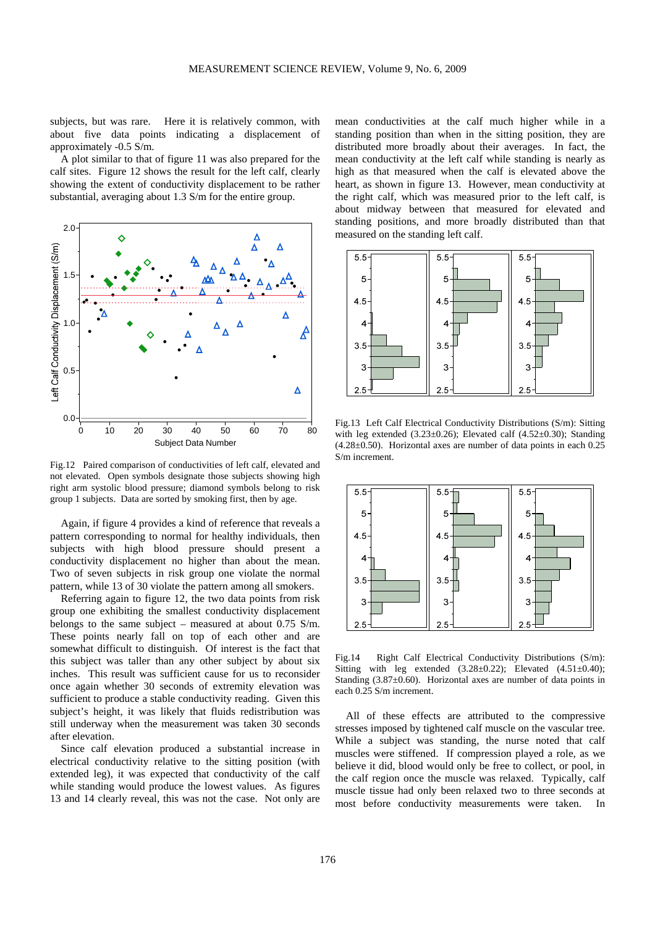subjects, but was rare. Here it is relatively common, with about five data points indicating a displacement of approximately -0.5 S/m.

 A plot similar to that of figure 11 was also prepared for the calf sites. Figure 12 shows the result for the left calf, clearly showing the extent of conductivity displacement to be rather substantial, averaging about 1.3 S/m for the entire group.



Fig.12 Paired comparison of conductivities of left calf, elevated and not elevated. Open symbols designate those subjects showing high right arm systolic blood pressure; diamond symbols belong to risk group 1 subjects. Data are sorted by smoking first, then by age.

 Again, if figure 4 provides a kind of reference that reveals a pattern corresponding to normal for healthy individuals, then subjects with high blood pressure should present a conductivity displacement no higher than about the mean. Two of seven subjects in risk group one violate the normal pattern, while 13 of 30 violate the pattern among all smokers.

 Referring again to figure 12, the two data points from risk group one exhibiting the smallest conductivity displacement belongs to the same subject – measured at about 0.75 S/m. These points nearly fall on top of each other and are somewhat difficult to distinguish. Of interest is the fact that this subject was taller than any other subject by about six inches. This result was sufficient cause for us to reconsider once again whether 30 seconds of extremity elevation was sufficient to produce a stable conductivity reading. Given this subject's height, it was likely that fluids redistribution was still underway when the measurement was taken 30 seconds after elevation.

 Since calf elevation produced a substantial increase in electrical conductivity relative to the sitting position (with extended leg), it was expected that conductivity of the calf while standing would produce the lowest values. As figures 13 and 14 clearly reveal, this was not the case. Not only are

mean conductivities at the calf much higher while in a standing position than when in the sitting position, they are distributed more broadly about their averages. In fact, the mean conductivity at the left calf while standing is nearly as high as that measured when the calf is elevated above the heart, as shown in figure 13. However, mean conductivity at the right calf, which was measured prior to the left calf, is about midway between that measured for elevated and standing positions, and more broadly distributed than that measured on the standing left calf.



Fig.13 Left Calf Electrical Conductivity Distributions (S/m): Sitting with leg extended  $(3.23\pm0.26)$ ; Elevated calf  $(4.52\pm0.30)$ ; Standing (4.28±0.50). Horizontal axes are number of data points in each 0.25 S/m increment.



Fig.14 Right Calf Electrical Conductivity Distributions (S/m): Sitting with leg extended  $(3.28\pm0.22)$ ; Elevated  $(4.51\pm0.40)$ ; Standing (3.87±0.60). Horizontal axes are number of data points in each 0.25 S/m increment.

All of these effects are attributed to the compressive stresses imposed by tightened calf muscle on the vascular tree. While a subject was standing, the nurse noted that calf muscles were stiffened. If compression played a role, as we believe it did, blood would only be free to collect, or pool, in the calf region once the muscle was relaxed. Typically, calf muscle tissue had only been relaxed two to three seconds at most before conductivity measurements were taken. In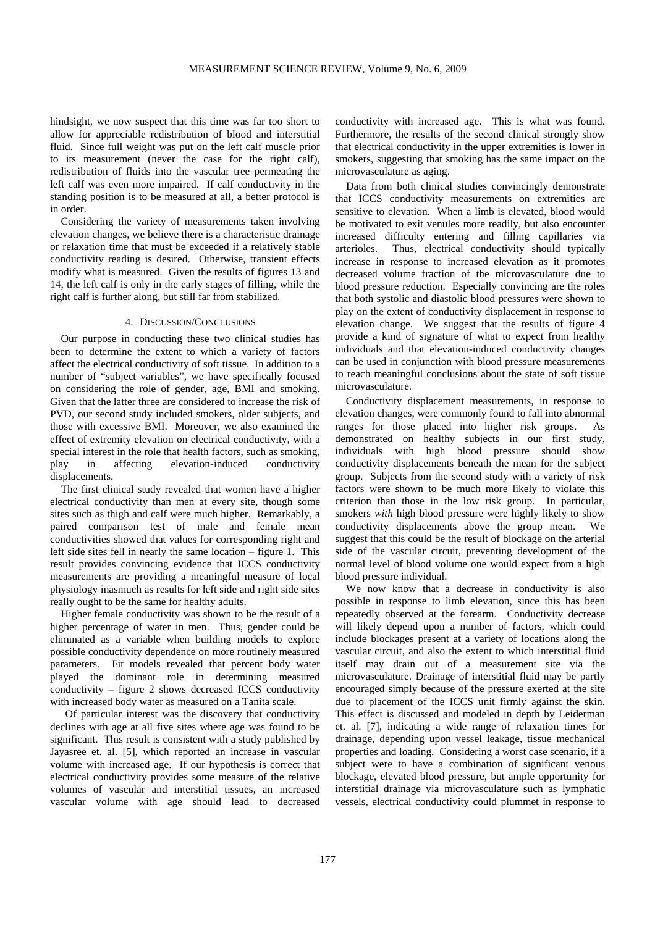hindsight, we now suspect that this time was far too short to allow for appreciable redistribution of blood and interstitial fluid. Since full weight was put on the left calf muscle prior to its measurement (never the case for the right calf), redistribution of fluids into the vascular tree permeating the left calf was even more impaired. If calf conductivity in the standing position is to be measured at all, a better protocol is in order.

Considering the variety of measurements taken involving elevation changes, we believe there is a characteristic drainage or relaxation time that must be exceeded if a relatively stable conductivity reading is desired. Otherwise, transient effects modify what is measured. Given the results of figures 13 and 14, the left calf is only in the early stages of filling, while the right calf is further along, but still far from stabilized.

## 4. DISCUSSION/CONCLUSIONS

Our purpose in conducting these two clinical studies has been to determine the extent to which a variety of factors affect the electrical conductivity of soft tissue. In addition to a number of "subject variables", we have specifically focused on considering the role of gender, age, BMI and smoking. Given that the latter three are considered to increase the risk of PVD, our second study included smokers, older subjects, and those with excessive BMI. Moreover, we also examined the effect of extremity elevation on electrical conductivity, with a special interest in the role that health factors, such as smoking, play in affecting elevation-induced conductivity displacements.

The first clinical study revealed that women have a higher electrical conductivity than men at every site, though some sites such as thigh and calf were much higher. Remarkably, a paired comparison test of male and female mean conductivities showed that values for corresponding right and left side sites fell in nearly the same location – figure 1. This result provides convincing evidence that ICCS conductivity measurements are providing a meaningful measure of local physiology inasmuch as results for left side and right side sites really ought to be the same for healthy adults.

Higher female conductivity was shown to be the result of a higher percentage of water in men. Thus, gender could be eliminated as a variable when building models to explore possible conductivity dependence on more routinely measured parameters. Fit models revealed that percent body water played the dominant role in determining measured conductivity – figure 2 shows decreased ICCS conductivity with increased body water as measured on a Tanita scale.

Of particular interest was the discovery that conductivity declines with age at all five sites where age was found to be significant. This result is consistent with a study published by Jayasree et. al. [5], which reported an increase in vascular volume with increased age. If our hypothesis is correct that electrical conductivity provides some measure of the relative volumes of vascular and interstitial tissues, an increased vascular volume with age should lead to decreased

conductivity with increased age. This is what was found. Furthermore, the results of the second clinical strongly show that electrical conductivity in the upper extremities is lower in smokers, suggesting that smoking has the same impact on the microvasculature as aging.

Data from both clinical studies convincingly demonstrate that ICCS conductivity measurements on extremities are sensitive to elevation. When a limb is elevated, blood would be motivated to exit venules more readily, but also encounter increased difficulty entering and filling capillaries via arterioles. Thus, electrical conductivity should typically increase in response to increased elevation as it promotes decreased volume fraction of the microvasculature due to blood pressure reduction. Especially convincing are the roles that both systolic and diastolic blood pressures were shown to play on the extent of conductivity displacement in response to elevation change. We suggest that the results of figure 4 provide a kind of signature of what to expect from healthy individuals and that elevation-induced conductivity changes can be used in conjunction with blood pressure measurements to reach meaningful conclusions about the state of soft tissue microvasculature.

Conductivity displacement measurements, in response to elevation changes, were commonly found to fall into abnormal ranges for those placed into higher risk groups. As demonstrated on healthy subjects in our first study, individuals with high blood pressure should show conductivity displacements beneath the mean for the subject group. Subjects from the second study with a variety of risk factors were shown to be much more likely to violate this criterion than those in the low risk group. In particular, smokers *with* high blood pressure were highly likely to show conductivity displacements above the group mean. We suggest that this could be the result of blockage on the arterial side of the vascular circuit, preventing development of the normal level of blood volume one would expect from a high blood pressure individual.

We now know that a decrease in conductivity is also possible in response to limb elevation, since this has been repeatedly observed at the forearm. Conductivity decrease will likely depend upon a number of factors, which could include blockages present at a variety of locations along the vascular circuit, and also the extent to which interstitial fluid itself may drain out of a measurement site via the microvasculature. Drainage of interstitial fluid may be partly encouraged simply because of the pressure exerted at the site due to placement of the ICCS unit firmly against the skin. This effect is discussed and modeled in depth by Leiderman et. al. [7], indicating a wide range of relaxation times for drainage, depending upon vessel leakage, tissue mechanical properties and loading. Considering a worst case scenario, if a subject were to have a combination of significant venous blockage, elevated blood pressure, but ample opportunity for interstitial drainage via microvasculature such as lymphatic vessels, electrical conductivity could plummet in response to